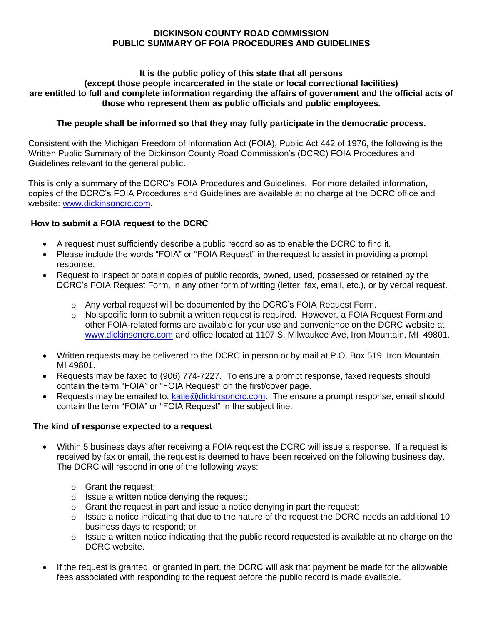### **DICKINSON COUNTY ROAD COMMISSION PUBLIC SUMMARY OF FOIA PROCEDURES AND GUIDELINES**

#### **It is the public policy of this state that all persons (except those people incarcerated in the state or local correctional facilities) are entitled to full and complete information regarding the affairs of government and the official acts of those who represent them as public officials and public employees.**

## **The people shall be informed so that they may fully participate in the democratic process.**

Consistent with the Michigan Freedom of Information Act (FOIA), Public Act 442 of 1976, the following is the Written Public Summary of the Dickinson County Road Commission's (DCRC) FOIA Procedures and Guidelines relevant to the general public.

This is only a summary of the DCRC's FOIA Procedures and Guidelines. For more detailed information, copies of the DCRC's FOIA Procedures and Guidelines are available at no charge at the DCRC office and website: [www.dickinsoncrc.com.](http://www.dickinsoncrc.com/)

### **How to submit a FOIA request to the DCRC**

- A request must sufficiently describe a public record so as to enable the DCRC to find it.
- Please include the words "FOIA" or "FOIA Request" in the request to assist in providing a prompt response.
- Request to inspect or obtain copies of public records, owned, used, possessed or retained by the DCRC's FOIA Request Form, in any other form of writing (letter, fax, email, etc.), or by verbal request.
	- $\circ$  Any verbal request will be documented by the DCRC's FOIA Request Form.
	- $\circ$  No specific form to submit a written request is required. However, a FOIA Request Form and other FOIA-related forms are available for your use and convenience on the DCRC website at [www.dickinsoncrc.com](http://www.dickinsoncrc.com/) and office located at 1107 S. Milwaukee Ave, Iron Mountain, MI 49801.
- Written requests may be delivered to the DCRC in person or by mail at P.O. Box 519, Iron Mountain, MI 49801.
- Requests may be faxed to (906) 774-7227. To ensure a prompt response, faxed requests should contain the term "FOIA" or "FOIA Request" on the first/cover page.
- Requests may be emailed to: [katie@dickinsoncrc.com.](mailto:katie@dickinsoncrc.com) The ensure a prompt response, email should contain the term "FOIA" or "FOIA Request" in the subject line.

### **The kind of response expected to a request**

- Within 5 business days after receiving a FOIA request the DCRC will issue a response. If a request is received by fax or email, the request is deemed to have been received on the following business day. The DCRC will respond in one of the following ways:
	- o Grant the request;
	- o Issue a written notice denying the request;
	- $\circ$  Grant the request in part and issue a notice denying in part the request;
	- $\circ$  Issue a notice indicating that due to the nature of the request the DCRC needs an additional 10 business days to respond; or
	- $\circ$  Issue a written notice indicating that the public record requested is available at no charge on the DCRC website.
- If the request is granted, or granted in part, the DCRC will ask that payment be made for the allowable fees associated with responding to the request before the public record is made available.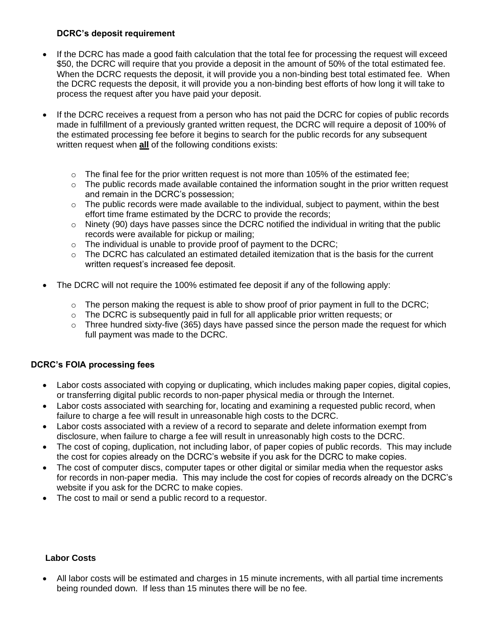### **DCRC's deposit requirement**

- If the DCRC has made a good faith calculation that the total fee for processing the request will exceed \$50, the DCRC will require that you provide a deposit in the amount of 50% of the total estimated fee. When the DCRC requests the deposit, it will provide you a non-binding best total estimated fee. When the DCRC requests the deposit, it will provide you a non-binding best efforts of how long it will take to process the request after you have paid your deposit.
- If the DCRC receives a request from a person who has not paid the DCRC for copies of public records made in fulfillment of a previously granted written request, the DCRC will require a deposit of 100% of the estimated processing fee before it begins to search for the public records for any subsequent written request when **all** of the following conditions exists:
	- $\circ$  The final fee for the prior written request is not more than 105% of the estimated fee:
	- $\circ$  The public records made available contained the information sought in the prior written request and remain in the DCRC's possession;
	- $\circ$  The public records were made available to the individual, subject to payment, within the best effort time frame estimated by the DCRC to provide the records;
	- $\circ$  Ninety (90) days have passes since the DCRC notified the individual in writing that the public records were available for pickup or mailing;
	- $\circ$  The individual is unable to provide proof of payment to the DCRC;
	- $\circ$  The DCRC has calculated an estimated detailed itemization that is the basis for the current written request's increased fee deposit.
- The DCRC will not require the 100% estimated fee deposit if any of the following apply:
	- $\circ$  The person making the request is able to show proof of prior payment in full to the DCRC;
	- $\circ$  The DCRC is subsequently paid in full for all applicable prior written requests; or
	- $\circ$  Three hundred sixty-five (365) days have passed since the person made the request for which full payment was made to the DCRC.

# **DCRC's FOIA processing fees**

- Labor costs associated with copying or duplicating, which includes making paper copies, digital copies, or transferring digital public records to non-paper physical media or through the Internet.
- Labor costs associated with searching for, locating and examining a requested public record, when failure to charge a fee will result in unreasonable high costs to the DCRC.
- Labor costs associated with a review of a record to separate and delete information exempt from disclosure, when failure to charge a fee will result in unreasonably high costs to the DCRC.
- The cost of coping, duplication, not including labor, of paper copies of public records. This may include the cost for copies already on the DCRC's website if you ask for the DCRC to make copies.
- The cost of computer discs, computer tapes or other digital or similar media when the requestor asks for records in non-paper media. This may include the cost for copies of records already on the DCRC's website if you ask for the DCRC to make copies.
- The cost to mail or send a public record to a requestor.

# **Labor Costs**

All labor costs will be estimated and charges in 15 minute increments, with all partial time increments being rounded down. If less than 15 minutes there will be no fee.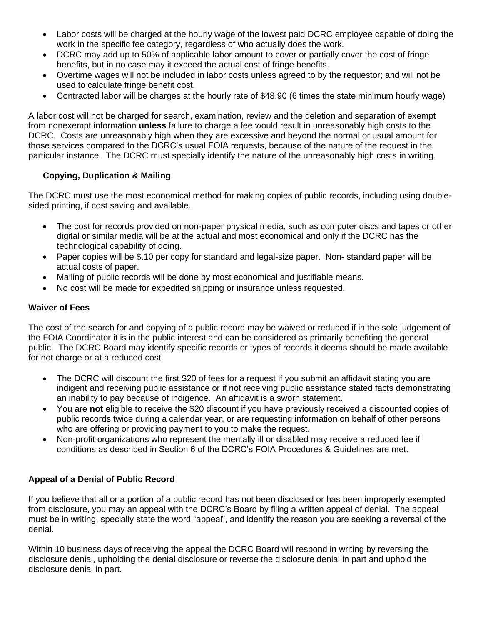- Labor costs will be charged at the hourly wage of the lowest paid DCRC employee capable of doing the work in the specific fee category, regardless of who actually does the work.
- DCRC may add up to 50% of applicable labor amount to cover or partially cover the cost of fringe benefits, but in no case may it exceed the actual cost of fringe benefits.
- Overtime wages will not be included in labor costs unless agreed to by the requestor; and will not be used to calculate fringe benefit cost.
- Contracted labor will be charges at the hourly rate of \$48.90 (6 times the state minimum hourly wage)

A labor cost will not be charged for search, examination, review and the deletion and separation of exempt from nonexempt information **unless** failure to charge a fee would result in unreasonably high costs to the DCRC. Costs are unreasonably high when they are excessive and beyond the normal or usual amount for those services compared to the DCRC's usual FOIA requests, because of the nature of the request in the particular instance. The DCRC must specially identify the nature of the unreasonably high costs in writing.

### **Copying, Duplication & Mailing**

The DCRC must use the most economical method for making copies of public records, including using doublesided printing, if cost saving and available.

- The cost for records provided on non-paper physical media, such as computer discs and tapes or other digital or similar media will be at the actual and most economical and only if the DCRC has the technological capability of doing.
- Paper copies will be \$.10 per copy for standard and legal-size paper. Non-standard paper will be actual costs of paper.
- Mailing of public records will be done by most economical and justifiable means.
- No cost will be made for expedited shipping or insurance unless requested.

### **Waiver of Fees**

The cost of the search for and copying of a public record may be waived or reduced if in the sole judgement of the FOIA Coordinator it is in the public interest and can be considered as primarily benefiting the general public. The DCRC Board may identify specific records or types of records it deems should be made available for not charge or at a reduced cost.

- The DCRC will discount the first \$20 of fees for a request if you submit an affidavit stating you are indigent and receiving public assistance or if not receiving public assistance stated facts demonstrating an inability to pay because of indigence. An affidavit is a sworn statement.
- You are **not** eligible to receive the \$20 discount if you have previously received a discounted copies of public records twice during a calendar year, or are requesting information on behalf of other persons who are offering or providing payment to you to make the request.
- Non-profit organizations who represent the mentally ill or disabled may receive a reduced fee if conditions as described in Section 6 of the DCRC's FOIA Procedures & Guidelines are met.

# **Appeal of a Denial of Public Record**

If you believe that all or a portion of a public record has not been disclosed or has been improperly exempted from disclosure, you may an appeal with the DCRC's Board by filing a written appeal of denial. The appeal must be in writing, specially state the word "appeal", and identify the reason you are seeking a reversal of the denial.

Within 10 business days of receiving the appeal the DCRC Board will respond in writing by reversing the disclosure denial, upholding the denial disclosure or reverse the disclosure denial in part and uphold the disclosure denial in part.